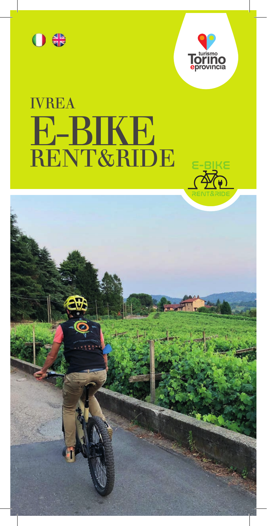



# **IVREA E-BIKE**<br>RENT&RIDE

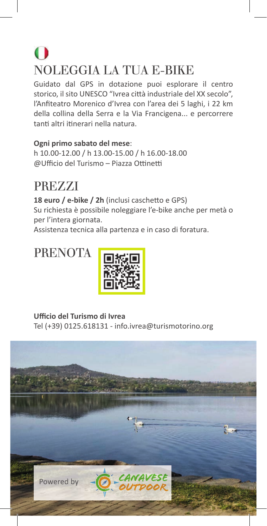## $\bigodot$ NOLEGGIA LA TUA E-BIKE

Guidato dal GPS in dotazione puoi esplorare il centro storico, il sito UNESCO "Ivrea città industriale del XX secolo", l'Anfiteatro Morenico d'Ivrea con l'area dei 5 laghi, i 22 km della collina della Serra e la Via Francigena... e percorrere tanti altri itinerari nella natura.

**Ogni primo sabato del mese**:

h 10.00-12.00 / h 13.00-15.00 / h 16.00-18.00 @Ufficio del Turismo – Piazza Ottinetti

## PREZZI

18 euro / e-bike / 2h (inclusi caschetto e GPS) Su richiesta è possibile noleggiare l'e-bike anche per metà o per l'intera giornata.

Assistenza tecnica alla partenza e in caso di foratura.

**PRENOTA** 



**Uffi cio del Turismo di Ivrea** Tel (+39) 0125.618131 - info.ivrea@turismotorino.org

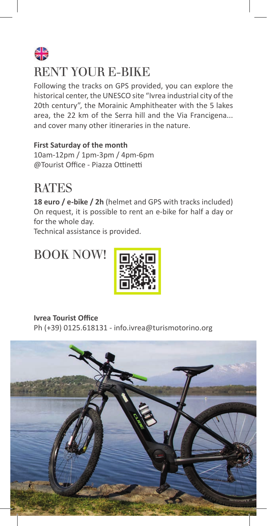## $\frac{1}{2}$ RENT YOUR E-BIKE

Following the tracks on GPS provided, you can explore the historical center, the UNESCO site "Ivrea industrial city of the 20th century", the Morainic Amphitheater with the 5 lakes area, the 22 km of the Serra hill and the Via Francigena... and cover many other itineraries in the nature.

**First Saturday of the month** 10am-12pm / 1pm-3pm / 4pm-6pm @Tourist Office - Piazza Ottinetti

#### **RATES**

**18 euro / e-bike / 2h** (helmet and GPS with tracks included) On request, it is possible to rent an e-bike for half a day or for the whole day.

Technical assistance is provided.

## BOOK NOW!



**Ivrea Tourist Office** 

Ph (+39) 0125.618131 - info.ivrea@turismotorino.org